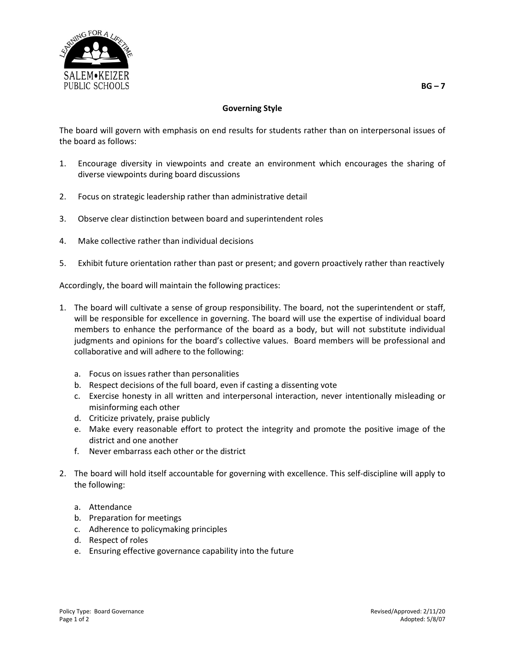

## **Governing Style**

The board will govern with emphasis on end results for students rather than on interpersonal issues of the board as follows:

- 1. Encourage diversity in viewpoints and create an environment which encourages the sharing of diverse viewpoints during board discussions
- 2. Focus on strategic leadership rather than administrative detail
- 3. Observe clear distinction between board and superintendent roles
- 4. Make collective rather than individual decisions
- 5. Exhibit future orientation rather than past or present; and govern proactively rather than reactively

Accordingly, the board will maintain the following practices:

- 1. The board will cultivate a sense of group responsibility. The board, not the superintendent or staff, will be responsible for excellence in governing. The board will use the expertise of individual board members to enhance the performance of the board as a body, but will not substitute individual judgments and opinions for the board's collective values. Board members will be professional and collaborative and will adhere to the following:
	- a. Focus on issues rather than personalities
	- b. Respect decisions of the full board, even if casting a dissenting vote
	- c. Exercise honesty in all written and interpersonal interaction, never intentionally misleading or misinforming each other
	- d. Criticize privately, praise publicly
	- e. Make every reasonable effort to protect the integrity and promote the positive image of the district and one another
	- f. Never embarrass each other or the district
- 2. The board will hold itself accountable for governing with excellence. This self-discipline will apply to the following:
	- a. Attendance
	- b. Preparation for meetings
	- c. Adherence to policymaking principles
	- d. Respect of roles
	- e. Ensuring effective governance capability into the future